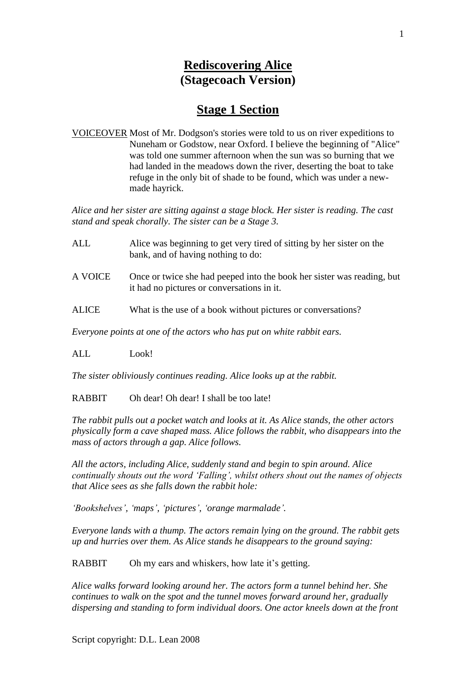# **Rediscovering Alice (Stagecoach Version)**

# **Stage 1 Section**

VOICEOVER Most of Mr. Dodgson's stories were told to us on river expeditions to Nuneham or Godstow, near Oxford. I believe the beginning of "Alice" was told one summer afternoon when the sun was so burning that we had landed in the meadows down the river, deserting the boat to take refuge in the only bit of shade to be found, which was under a newmade hayrick.

*Alice and her sister are sitting against a stage block. Her sister is reading. The cast stand and speak chorally. The sister can be a Stage 3.*

- ALL Alice was beginning to get very tired of sitting by her sister on the bank, and of having nothing to do:
- A VOICE Once or twice she had peeped into the book her sister was reading, but it had no pictures or conversations in it.
- ALICE What is the use of a book without pictures or conversations?

*Everyone points at one of the actors who has put on white rabbit ears.*

ALL Look!

*The sister obliviously continues reading. Alice looks up at the rabbit.*

RABBIT Oh dear! Oh dear! I shall be too late!

*The rabbit pulls out a pocket watch and looks at it. As Alice stands, the other actors physically form a cave shaped mass. Alice follows the rabbit, who disappears into the mass of actors through a gap. Alice follows.*

*All the actors, including Alice, suddenly stand and begin to spin around. Alice continually shouts out the word 'Falling', whilst others shout out the names of objects that Alice sees as she falls down the rabbit hole:*

*'Bookshelves', 'maps', 'pictures', 'orange marmalade'.*

*Everyone lands with a thump. The actors remain lying on the ground. The rabbit gets up and hurries over them. As Alice stands he disappears to the ground saying:*

RABBIT Oh my ears and whiskers, how late it's getting.

*Alice walks forward looking around her. The actors form a tunnel behind her. She continues to walk on the spot and the tunnel moves forward around her, gradually dispersing and standing to form individual doors. One actor kneels down at the front*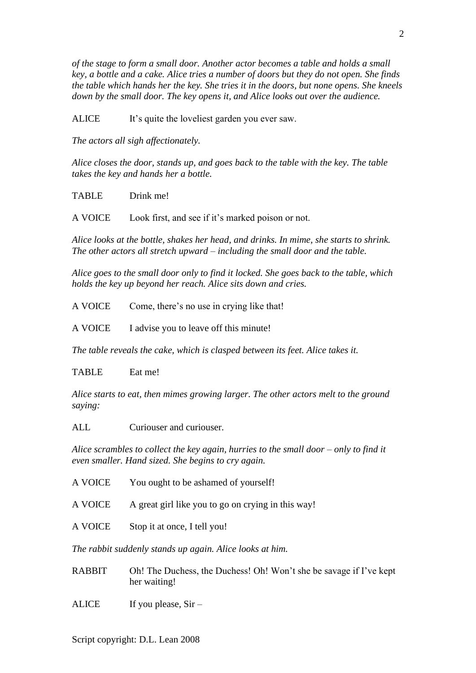*of the stage to form a small door. Another actor becomes a table and holds a small key, a bottle and a cake. Alice tries a number of doors but they do not open. She finds the table which hands her the key. She tries it in the doors, but none opens. She kneels down by the small door. The key opens it, and Alice looks out over the audience.*

ALICE It's quite the loveliest garden you ever saw.

*The actors all sigh affectionately.*

*Alice closes the door, stands up, and goes back to the table with the key. The table takes the key and hands her a bottle.*

TABLE Drink me!

A VOICE Look first, and see if it's marked poison or not.

*Alice looks at the bottle, shakes her head, and drinks. In mime, she starts to shrink. The other actors all stretch upward – including the small door and the table.*

*Alice goes to the small door only to find it locked. She goes back to the table, which holds the key up beyond her reach. Alice sits down and cries.*

A VOICE Come, there's no use in crying like that!

A VOICE I advise you to leave off this minute!

*The table reveals the cake, which is clasped between its feet. Alice takes it.*

TABLE Eat me!

*Alice starts to eat, then mimes growing larger. The other actors melt to the ground saying:*

ALL Curiouser and curiouser.

*Alice scrambles to collect the key again, hurries to the small door – only to find it even smaller. Hand sized. She begins to cry again.*

| A VOICE                                                  | You ought to be ashamed of yourself!                                               |  |
|----------------------------------------------------------|------------------------------------------------------------------------------------|--|
| A VOICE                                                  | A great girl like you to go on crying in this way!                                 |  |
| A VOICE                                                  | Stop it at once, I tell you!                                                       |  |
| The rabbit suddenly stands up again. Alice looks at him. |                                                                                    |  |
| <b>RABBIT</b>                                            | Oh! The Duchess, the Duchess! Oh! Won't she be savage if I've kept<br>her waiting! |  |

ALICE If you please,  $Sir -$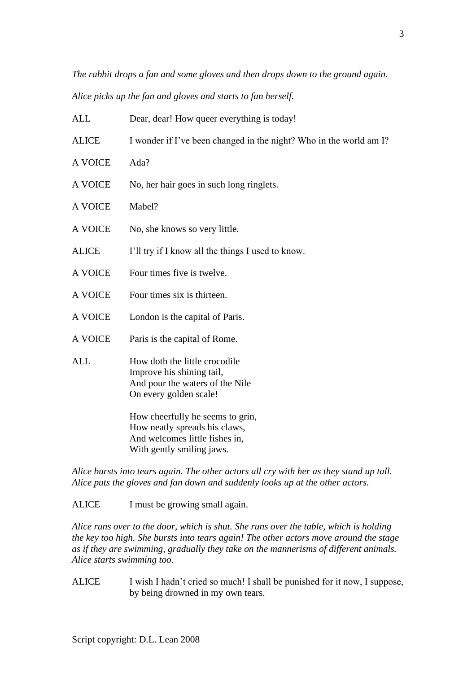*The rabbit drops a fan and some gloves and then drops down to the ground again.*

*Alice picks up the fan and gloves and starts to fan herself.*

| <b>ALL</b>   | Dear, dear! How queer everything is today!                                                                                       |
|--------------|----------------------------------------------------------------------------------------------------------------------------------|
| <b>ALICE</b> | I wonder if I've been changed in the night? Who in the world am I?                                                               |
| A VOICE      | Ada?                                                                                                                             |
| A VOICE      | No, her hair goes in such long ringlets.                                                                                         |
| A VOICE      | Mabel?                                                                                                                           |
| A VOICE      | No, she knows so very little.                                                                                                    |
| <b>ALICE</b> | I'll try if I know all the things I used to know.                                                                                |
| A VOICE      | Four times five is twelve.                                                                                                       |
| A VOICE      | Four times six is thirteen.                                                                                                      |
| A VOICE      | London is the capital of Paris.                                                                                                  |
| A VOICE      | Paris is the capital of Rome.                                                                                                    |
| <b>ALL</b>   | How doth the little crocodile<br>Improve his shining tail,<br>And pour the waters of the Nile<br>On every golden scale!          |
|              | How cheerfully he seems to grin,<br>How neatly spreads his claws,<br>And welcomes little fishes in,<br>With gently smiling jaws. |

*Alice bursts into tears again. The other actors all cry with her as they stand up tall. Alice puts the gloves and fan down and suddenly looks up at the other actors.*

ALICE I must be growing small again.

*Alice runs over to the door, which is shut. She runs over the table, which is holding the key too high. She bursts into tears again! The other actors move around the stage as if they are swimming, gradually they take on the mannerisms of different animals. Alice starts swimming too.*

ALICE I wish I hadn't cried so much! I shall be punished for it now, I suppose, by being drowned in my own tears.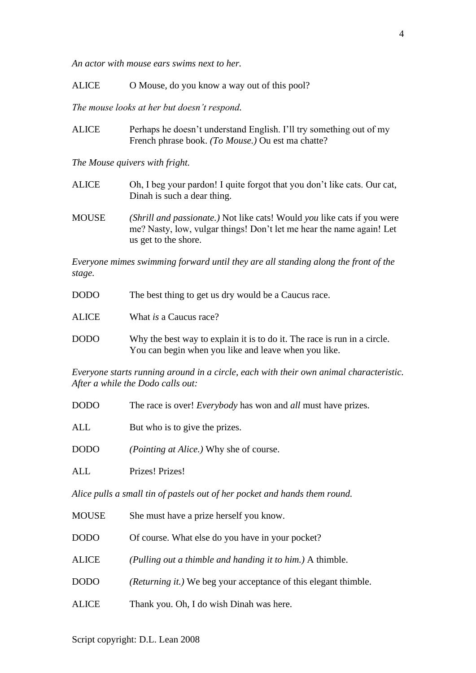*An actor with mouse ears swims next to her.*

ALICE O Mouse, do you know a way out of this pool?

*The mouse looks at her but doesn't respond.*

ALICE Perhaps he doesn't understand English. I'll try something out of my French phrase book. *(To Mouse.)* Ou est ma chatte?

*The Mouse quivers with fright.*

- ALICE Oh, I beg your pardon! I quite forgot that you don't like cats. Our cat, Dinah is such a dear thing.
- MOUSE *(Shrill and passionate.)* Not like cats! Would *you* like cats if you were me? Nasty, low, vulgar things! Don't let me hear the name again! Let us get to the shore.

*Everyone mimes swimming forward until they are all standing along the front of the stage.*

| <b>DODO</b>  | The best thing to get us dry would be a Caucus race.                                                                             |
|--------------|----------------------------------------------------------------------------------------------------------------------------------|
| <b>ALICE</b> | What <i>is</i> a Caucus race?                                                                                                    |
| <b>DODO</b>  | Why the best way to explain it is to do it. The race is run in a circle.<br>You can begin when you like and leave when you like. |

*Everyone starts running around in a circle, each with their own animal characteristic. After a while the Dodo calls out:*

| <b>DODO</b> | The race is over! <i>Everybody</i> has won and <i>all</i> must have prizes. |
|-------------|-----------------------------------------------------------------------------|
| ALL         | But who is to give the prizes.                                              |
| <b>DODO</b> | <i>(Pointing at Alice.)</i> Why she of course.                              |
| ALL         | Prizes! Prizes!                                                             |
|             |                                                                             |

*Alice pulls a small tin of pastels out of her pocket and hands them round.*

- MOUSE She must have a prize herself you know.
- DODO Of course. What else do you have in your pocket?
- ALICE *(Pulling out a thimble and handing it to him.)* A thimble.
- DODO *(Returning it.)* We beg your acceptance of this elegant thimble.
- ALICE Thank you. Oh, I do wish Dinah was here.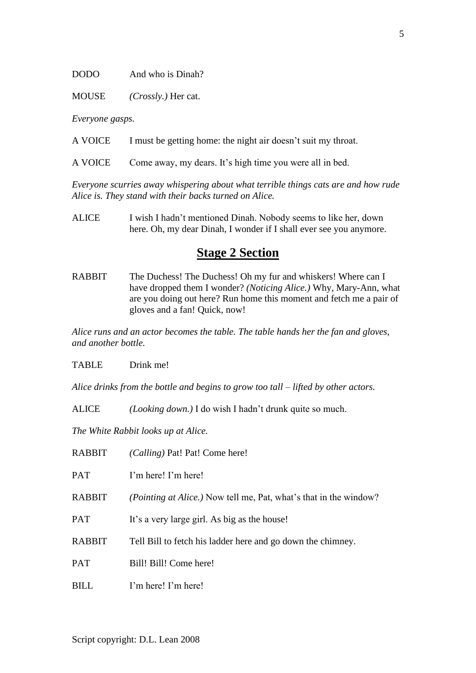#### DODO And who is Dinah?

MOUSE *(Crossly.)* Her cat.

*Everyone gasps.*

A VOICE I must be getting home: the night air doesn't suit my throat.

A VOICE Come away, my dears. It's high time you were all in bed.

*Everyone scurries away whispering about what terrible things cats are and how rude Alice is. They stand with their backs turned on Alice.*

ALICE I wish I hadn't mentioned Dinah. Nobody seems to like her, down here. Oh, my dear Dinah, I wonder if I shall ever see you anymore.

## **Stage 2 Section**

RABBIT The Duchess! The Duchess! Oh my fur and whiskers! Where can I have dropped them I wonder? *(Noticing Alice.)* Why, Mary-Ann, what are you doing out here? Run home this moment and fetch me a pair of gloves and a fan! Quick, now!

*Alice runs and an actor becomes the table. The table hands her the fan and gloves, and another bottle.*

TABLE Drink me!

*Alice drinks from the bottle and begins to grow too tall – lifted by other actors.*

ALICE *(Looking down.)* I do wish I hadn't drunk quite so much.

*The White Rabbit looks up at Alice.*

| RABBIT | (Calling) Pat! Pat! Come here!                                             |
|--------|----------------------------------------------------------------------------|
| PAT    | I'm here! I'm here!                                                        |
| RABBIT | ( <i>Pointing at Alice.</i> ) Now tell me, Pat, what's that in the window? |
| PAT    | It's a very large girl. As big as the house!                               |
| RABBIT | Tell Bill to fetch his ladder here and go down the chimney.                |
| PAT    | Bill! Bill! Come here!                                                     |
| BILL   | I'm here! I'm here!                                                        |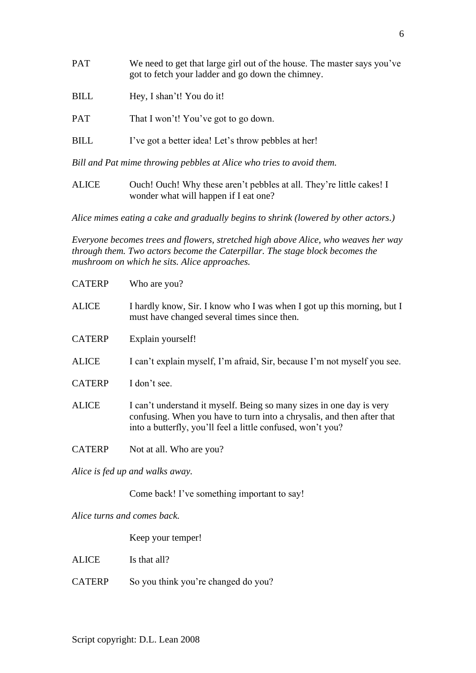PAT We need to get that large girl out of the house. The master says you've got to fetch your ladder and go down the chimney. BILL Hey, I shan't! You do it! PAT That I won't! You've got to go down. BILL I've got a better idea! Let's throw pebbles at her!

*Bill and Pat mime throwing pebbles at Alice who tries to avoid them.*

ALICE Ouch! Ouch! Why these aren't pebbles at all. They're little cakes! I wonder what will happen if I eat one?

*Alice mimes eating a cake and gradually begins to shrink (lowered by other actors.)* 

*Everyone becomes trees and flowers, stretched high above Alice, who weaves her way through them. Two actors become the Caterpillar. The stage block becomes the mushroom on which he sits. Alice approaches.*

| <b>CATERP</b>                   | Who are you?                                                                                                                                                                                                  |  |
|---------------------------------|---------------------------------------------------------------------------------------------------------------------------------------------------------------------------------------------------------------|--|
| <b>ALICE</b>                    | I hardly know, Sir. I know who I was when I got up this morning, but I<br>must have changed several times since then.                                                                                         |  |
| <b>CATERP</b>                   | Explain yourself!                                                                                                                                                                                             |  |
| <b>ALICE</b>                    | I can't explain myself, I'm afraid, Sir, because I'm not myself you see.                                                                                                                                      |  |
| <b>CATERP</b>                   | I don't see.                                                                                                                                                                                                  |  |
| <b>ALICE</b>                    | I can't understand it myself. Being so many sizes in one day is very<br>confusing. When you have to turn into a chrysalis, and then after that<br>into a butterfly, you'll feel a little confused, won't you? |  |
| <b>CATERP</b>                   | Not at all. Who are you?                                                                                                                                                                                      |  |
| Alice is fed up and walks away. |                                                                                                                                                                                                               |  |

Come back! I've something important to say!

*Alice turns and comes back.*

Keep your temper!

ALICE Is that all?

CATERP So you think you're changed do you?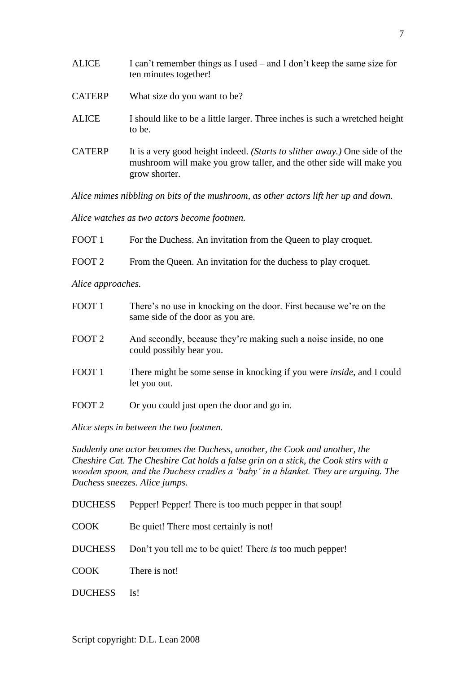| <b>ALICE</b>  | I can't remember things as I used – and I don't keep the same size for<br>ten minutes together!                                                                     |
|---------------|---------------------------------------------------------------------------------------------------------------------------------------------------------------------|
| <b>CATERP</b> | What size do you want to be?                                                                                                                                        |
| <b>ALICE</b>  | I should like to be a little larger. Three inches is such a wretched height<br>to be.                                                                               |
| <b>CATERP</b> | It is a very good height indeed. (Starts to slither away.) One side of the<br>mushroom will make you grow taller, and the other side will make you<br>grow shorter. |

*Alice mimes nibbling on bits of the mushroom, as other actors lift her up and down.*

*Alice watches as two actors become footmen.*

| FOOT 1 | For the Duchess. An invitation from the Queen to play croquet. |
|--------|----------------------------------------------------------------|
| FOOT 2 | From the Queen. An invitation for the duchess to play croquet. |
|        |                                                                |

*Alice approaches.*

| FOOT <sub>1</sub> | There's no use in knocking on the door. First because we're on the<br>same side of the door as you are. |
|-------------------|---------------------------------------------------------------------------------------------------------|
| FOOT <sub>2</sub> | And secondly, because they're making such a noise inside, no one<br>could possibly hear you.            |
| FOOT <sub>1</sub> | There might be some sense in knocking if you were <i>inside</i> , and I could<br>let you out.           |
| FOOT <sub>2</sub> | Or you could just open the door and go in.                                                              |

*Alice steps in between the two footmen.*

*Suddenly one actor becomes the Duchess, another, the Cook and another, the Cheshire Cat. The Cheshire Cat holds a false grin on a stick, the Cook stirs with a wooden spoon, and the Duchess cradles a 'baby' in a blanket. They are arguing. The Duchess sneezes. Alice jumps.*

|  | <b>DUCHESS</b> |  | Pepper! Pepper! There is too much pepper in that soup! |  |
|--|----------------|--|--------------------------------------------------------|--|
|--|----------------|--|--------------------------------------------------------|--|

- COOK Be quiet! There most certainly is not!
- DUCHESS Don't you tell me to be quiet! There *is* too much pepper!
- COOK There is not!

DUCHESS Is!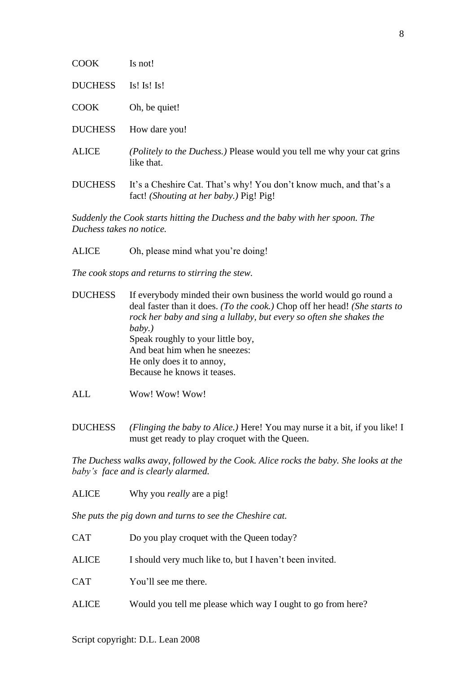| <b>COOK</b>    | Is not!                                                                                                       |
|----------------|---------------------------------------------------------------------------------------------------------------|
| <b>DUCHESS</b> | Is! Is! Is!                                                                                                   |
| <b>COOK</b>    | Oh, be quiet!                                                                                                 |
| <b>DUCHESS</b> | How dare you!                                                                                                 |
| <b>ALICE</b>   | <i>(Politely to the Duchess.)</i> Please would you tell me why your cat grins<br>like that.                   |
| <b>DUCHESS</b> | It's a Cheshire Cat. That's why! You don't know much, and that's a<br>fact! (Shouting at her baby.) Pig! Pig! |

*Suddenly the Cook starts hitting the Duchess and the baby with her spoon. The Duchess takes no notice.*

ALICE Oh, please mind what you're doing!

*The cook stops and returns to stirring the stew.*

- DUCHESS If everybody minded their own business the world would go round a deal faster than it does. *(To the cook.)* Chop off her head! *(She starts to rock her baby and sing a lullaby, but every so often she shakes the baby.)* Speak roughly to your little boy, And beat him when he sneezes: He only does it to annoy, Because he knows it teases.
- ALL Wow! Wow! Wow!
- DUCHESS *(Flinging the baby to Alice.)* Here! You may nurse it a bit, if you like! I must get ready to play croquet with the Queen.

*The Duchess walks away, followed by the Cook. Alice rocks the baby. She looks at the baby's face and is clearly alarmed.*

ALICE Why you *really* are a pig!

*She puts the pig down and turns to see the Cheshire cat.*

CAT Do you play croquet with the Queen today? ALICE I should very much like to, but I haven't been invited. CAT You'll see me there. ALICE Would you tell me please which way I ought to go from here?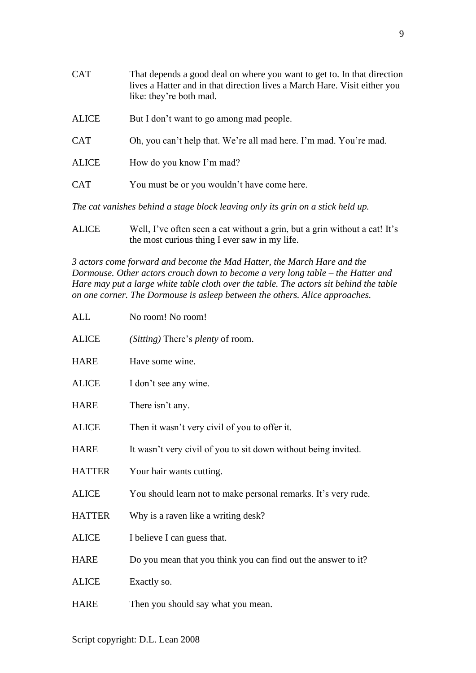| <b>CAT</b>   | That depends a good deal on where you want to get to. In that direction<br>lives a Hatter and in that direction lives a March Hare. Visit either you<br>like: they're both mad. |
|--------------|---------------------------------------------------------------------------------------------------------------------------------------------------------------------------------|
| <b>ALICE</b> | But I don't want to go among mad people.                                                                                                                                        |
| <b>CAT</b>   | Oh, you can't help that. We're all mad here. I'm mad. You're mad.                                                                                                               |
| <b>ALICE</b> | How do you know I'm mad?                                                                                                                                                        |
| <b>CAT</b>   | You must be or you wouldn't have come here.                                                                                                                                     |
|              |                                                                                                                                                                                 |

*The cat vanishes behind a stage block leaving only its grin on a stick held up.*

ALICE Well, I've often seen a cat without a grin, but a grin without a cat! It's the most curious thing I ever saw in my life.

*3 actors come forward and become the Mad Hatter, the March Hare and the Dormouse. Other actors crouch down to become a very long table – the Hatter and Hare may put a large white table cloth over the table. The actors sit behind the table on one corner. The Dormouse is asleep between the others. Alice approaches.*

| ALL           | No room! No room!                                              |
|---------------|----------------------------------------------------------------|
| <b>ALICE</b>  | (Sitting) There's <i>plenty</i> of room.                       |
| <b>HARE</b>   | Have some wine.                                                |
| <b>ALICE</b>  | I don't see any wine.                                          |
| <b>HARE</b>   | There isn't any.                                               |
| <b>ALICE</b>  | Then it wasn't very civil of you to offer it.                  |
| <b>HARE</b>   | It wasn't very civil of you to sit down without being invited. |
| <b>HATTER</b> | Your hair wants cutting.                                       |
| <b>ALICE</b>  | You should learn not to make personal remarks. It's very rude. |
| <b>HATTER</b> | Why is a raven like a writing desk?                            |
| <b>ALICE</b>  | I believe I can guess that.                                    |
| <b>HARE</b>   | Do you mean that you think you can find out the answer to it?  |
| <b>ALICE</b>  | Exactly so.                                                    |
| <b>HARE</b>   | Then you should say what you mean.                             |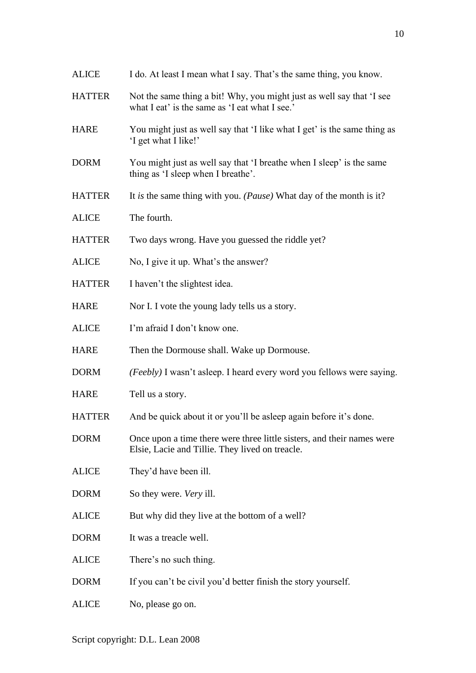| <b>ALICE</b>  | I do. At least I mean what I say. That's the same thing, you know.                                                        |
|---------------|---------------------------------------------------------------------------------------------------------------------------|
| <b>HATTER</b> | Not the same thing a bit! Why, you might just as well say that 'I see<br>what I eat' is the same as 'I eat what I see.'   |
| <b>HARE</b>   | You might just as well say that 'I like what I get' is the same thing as<br>'I get what I like!'                          |
| <b>DORM</b>   | You might just as well say that 'I breathe when I sleep' is the same<br>thing as 'I sleep when I breathe'.                |
| <b>HATTER</b> | It is the same thing with you. ( <i>Pause</i> ) What day of the month is it?                                              |
| <b>ALICE</b>  | The fourth.                                                                                                               |
| <b>HATTER</b> | Two days wrong. Have you guessed the riddle yet?                                                                          |
| <b>ALICE</b>  | No, I give it up. What's the answer?                                                                                      |
| <b>HATTER</b> | I haven't the slightest idea.                                                                                             |
| <b>HARE</b>   | Nor I. I vote the young lady tells us a story.                                                                            |
| <b>ALICE</b>  | I'm afraid I don't know one.                                                                                              |
| <b>HARE</b>   | Then the Dormouse shall. Wake up Dormouse.                                                                                |
| <b>DORM</b>   | (Feebly) I wasn't asleep. I heard every word you fellows were saying.                                                     |
| <b>HARE</b>   | Tell us a story.                                                                                                          |
| <b>HATTER</b> | And be quick about it or you'll be asleep again before it's done.                                                         |
| <b>DORM</b>   | Once upon a time there were three little sisters, and their names were<br>Elsie, Lacie and Tillie. They lived on treacle. |
| <b>ALICE</b>  | They'd have been ill.                                                                                                     |
| <b>DORM</b>   | So they were. Very ill.                                                                                                   |
| <b>ALICE</b>  | But why did they live at the bottom of a well?                                                                            |
| <b>DORM</b>   | It was a treacle well.                                                                                                    |
| <b>ALICE</b>  | There's no such thing.                                                                                                    |
| <b>DORM</b>   | If you can't be civil you'd better finish the story yourself.                                                             |
| <b>ALICE</b>  | No, please go on.                                                                                                         |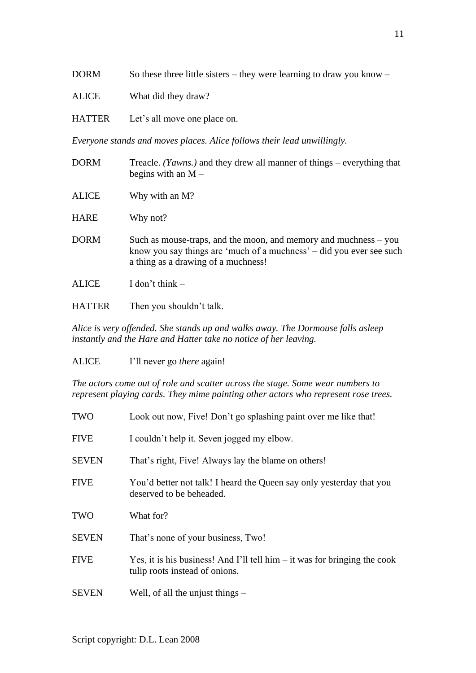DORM So these three little sisters – they were learning to draw you know –

- ALICE What did they draw?
- HATTER Let's all move one place on.

*Everyone stands and moves places. Alice follows their lead unwillingly.*

| <b>DORM</b>  | Treacle. <i>(Yawns.)</i> and they drew all manner of things – everything that<br>begins with an $M -$                                                                           |
|--------------|---------------------------------------------------------------------------------------------------------------------------------------------------------------------------------|
| <b>ALICE</b> | Why with an M?                                                                                                                                                                  |
| <b>HARE</b>  | Why not?                                                                                                                                                                        |
| <b>DORM</b>  | Such as mouse-traps, and the moon, and memory and muchness – you<br>know you say things are 'much of a muchness' – did you ever see such<br>a thing as a drawing of a muchness! |
| <b>ALICE</b> | I don't think $-$                                                                                                                                                               |
|              |                                                                                                                                                                                 |

HATTER Then you shouldn't talk.

*Alice is very offended. She stands up and walks away. The Dormouse falls asleep instantly and the Hare and Hatter take no notice of her leaving.*

ALICE I'll never go *there* again!

*The actors come out of role and scatter across the stage. Some wear numbers to represent playing cards. They mime painting other actors who represent rose trees.*

| TWO          | Look out now, Five! Don't go splashing paint over me like that!                                               |
|--------------|---------------------------------------------------------------------------------------------------------------|
| <b>FIVE</b>  | I couldn't help it. Seven jogged my elbow.                                                                    |
| <b>SEVEN</b> | That's right, Five! Always lay the blame on others!                                                           |
| <b>FIVE</b>  | You'd better not talk! I heard the Queen say only yesterday that you<br>deserved to be beheaded.              |
| TWO          | What for?                                                                                                     |
| <b>SEVEN</b> | That's none of your business, Two!                                                                            |
| <b>FIVE</b>  | Yes, it is his business! And I'll tell him $-$ it was for bringing the cook<br>tulip roots instead of onions. |
| <b>SEVEN</b> | Well, of all the unjust things $-$                                                                            |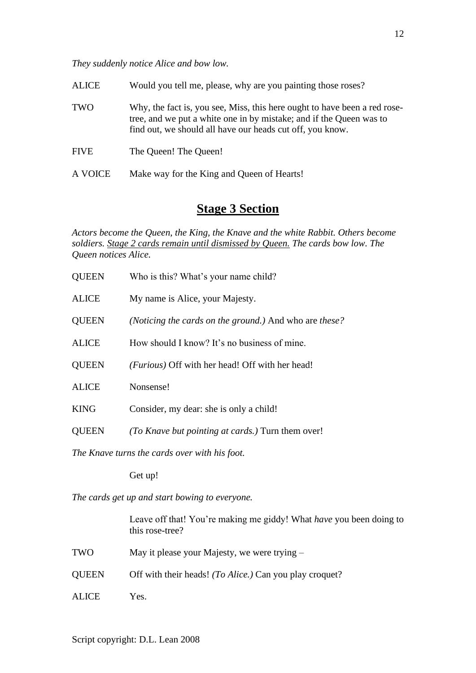*They suddenly notice Alice and bow low.*

| <b>ALICE</b> | Would you tell me, please, why are you painting those roses?                                                                                                                                                  |
|--------------|---------------------------------------------------------------------------------------------------------------------------------------------------------------------------------------------------------------|
| <b>TWO</b>   | Why, the fact is, you see, Miss, this here ought to have been a red rose-<br>tree, and we put a white one in by mistake; and if the Queen was to<br>find out, we should all have our heads cut off, you know. |
| <b>FIVE</b>  | The Queen! The Queen!                                                                                                                                                                                         |
| A VOICE      | Make way for the King and Queen of Hearts!                                                                                                                                                                    |

# **Stage 3 Section**

*Actors become the Queen, the King, the Knave and the white Rabbit. Others become soldiers. Stage 2 cards remain until dismissed by Queen. The cards bow low. The Queen notices Alice.*

| <b>QUEEN</b>                                   | Who is this? What's your name child?                     |  |
|------------------------------------------------|----------------------------------------------------------|--|
| <b>ALICE</b>                                   | My name is Alice, your Majesty.                          |  |
| <b>QUEEN</b>                                   | (Noticing the cards on the ground.) And who are these?   |  |
| <b>ALICE</b>                                   | How should I know? It's no business of mine.             |  |
| <b>QUEEN</b>                                   | ( <i>Furious</i> ) Off with her head! Off with her head! |  |
| <b>ALICE</b>                                   | Nonsense!                                                |  |
| <b>KING</b>                                    | Consider, my dear: she is only a child!                  |  |
| <b>QUEEN</b>                                   | (To Knave but pointing at cards.) Turn them over!        |  |
| The Knave turns the cards over with his foot.  |                                                          |  |
|                                                | Get up!                                                  |  |
| The cards get up and start bowing to everyone. |                                                          |  |
|                                                |                                                          |  |

Leave off that! You're making me giddy! What *have* you been doing to this rose-tree?

- TWO May it please your Majesty, we were trying –
- QUEEN Off with their heads! *(To Alice.)* Can you play croquet?
- ALICE Yes.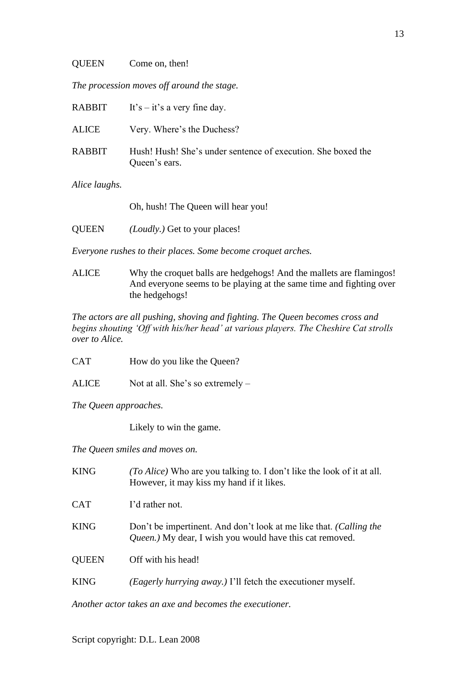#### QUEEN Come on, then!

*The procession moves off around the stage.*

|               | RABBIT It's $-$ it's a very fine day.                                         |
|---------------|-------------------------------------------------------------------------------|
| ALICE         | Very. Where's the Duchess?                                                    |
| <b>RABBIT</b> | Hush! Hush! She's under sentence of execution. She boxed the<br>Queen's ears. |

*Alice laughs.*

Oh, hush! The Queen will hear you!

QUEEN *(Loudly.)* Get to your places!

*Everyone rushes to their places. Some become croquet arches.*

ALICE Why the croquet balls are hedgehogs! And the mallets are flamingos! And everyone seems to be playing at the same time and fighting over the hedgehogs!

*The actors are all pushing, shoving and fighting. The Queen becomes cross and begins shouting 'Off with his/her head' at various players. The Cheshire Cat strolls over to Alice.*

CAT How do you like the Queen?

ALICE Not at all. She's so extremely –

*The Queen approaches.*

Likely to win the game.

*The Queen smiles and moves on.*

| <b>KING</b>  | (To Alice) Who are you talking to. I don't like the look of it at all.<br>However, it may kiss my hand if it likes.            |
|--------------|--------------------------------------------------------------------------------------------------------------------------------|
| <b>CAT</b>   | I'd rather not.                                                                                                                |
| <b>KING</b>  | Don't be impertinent. And don't look at me like that. (Calling the<br>Queen.) My dear, I wish you would have this cat removed. |
| <b>QUEEN</b> | Off with his head!                                                                                                             |
| <b>KING</b>  | (Eagerly hurrying away.) I'll fetch the executioner myself.                                                                    |

*Another actor takes an axe and becomes the executioner.*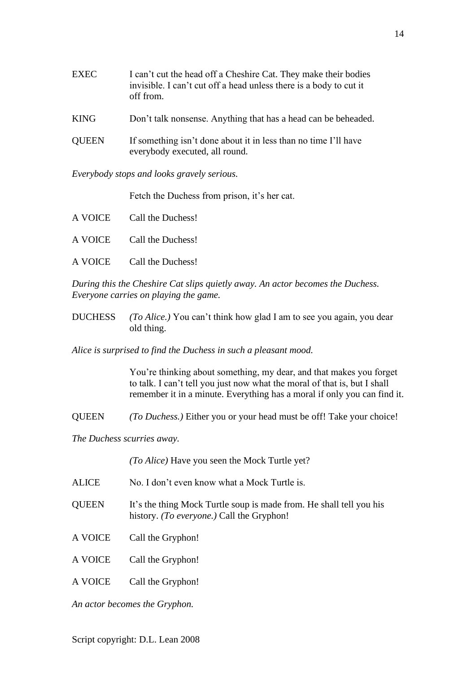| <b>EXEC</b>  | I can't cut the head off a Cheshire Cat. They make their bodies<br>invisible. I can't cut off a head unless there is a body to cut it<br>off from. |
|--------------|----------------------------------------------------------------------------------------------------------------------------------------------------|
| <b>KING</b>  | Don't talk nonsense. Anything that has a head can be beheaded.                                                                                     |
| <b>QUEEN</b> | If something isn't done about it in less than no time I'll have<br>everybody executed, all round.                                                  |

*Everybody stops and looks gravely serious.*

Fetch the Duchess from prison, it's her cat.

| A VOICE Call the Duchess! |
|---------------------------|
| A VOICE Call the Duchess! |
| A VOICE Call the Duchess! |

*During this the Cheshire Cat slips quietly away. An actor becomes the Duchess. Everyone carries on playing the game.*

DUCHESS *(To Alice.)* You can't think how glad I am to see you again, you dear old thing.

*Alice is surprised to find the Duchess in such a pleasant mood.*

You're thinking about something, my dear, and that makes you forget to talk. I can't tell you just now what the moral of that is, but I shall remember it in a minute. Everything has a moral if only you can find it.

QUEEN *(To Duchess.)* Either you or your head must be off! Take your choice!

*The Duchess scurries away.*

*(To Alice)* Have you seen the Mock Turtle yet?

| ALICE        | No. I don't even know what a Mock Turtle is.                                                                            |
|--------------|-------------------------------------------------------------------------------------------------------------------------|
| <b>QUEEN</b> | It's the thing Mock Turtle soup is made from. He shall tell you his<br>history. <i>(To everyone.)</i> Call the Gryphon! |
| A VOICE      | Call the Gryphon!                                                                                                       |
| A VOICE      | Call the Gryphon!                                                                                                       |
| A VOICE      | Call the Gryphon!                                                                                                       |

*An actor becomes the Gryphon.*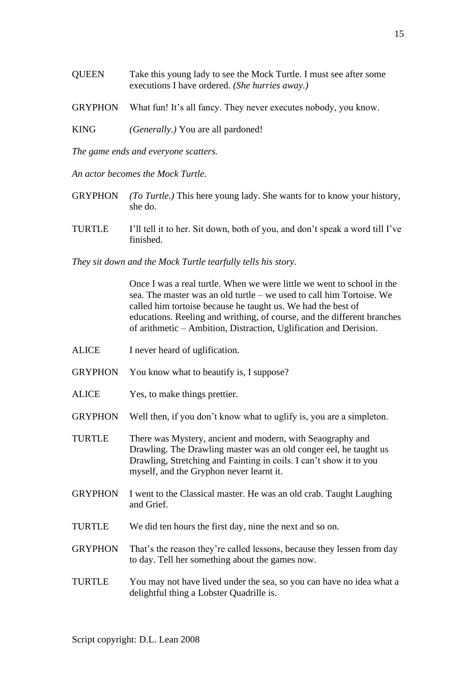- QUEEN Take this young lady to see the Mock Turtle. I must see after some executions I have ordered. *(She hurries away.)*
- GRYPHON What fun! It's all fancy. They never executes nobody, you know.
- KING *(Generally.)* You are all pardoned!

*The game ends and everyone scatters.*

*An actor becomes the Mock Turtle.*

- GRYPHON *(To Turtle.)* This here young lady. She wants for to know your history, she do.
- TURTLE I'll tell it to her. Sit down, both of you, and don't speak a word till I've finished.

*They sit down and the Mock Turtle tearfully tells his story.*

Once I was a real turtle. When we were little we went to school in the sea. The master was an old turtle – we used to call him Tortoise. We called him tortoise because he taught us. We had the best of educations. Reeling and writhing, of course, and the different branches of arithmetic – Ambition, Distraction, Uglification and Derision.

- ALICE I never heard of uglification.
- GRYPHON You know what to beautify is, I suppose?
- ALICE Yes, to make things prettier.
- GRYPHON Well then, if you don't know what to uglify is, you are a simpleton.
- TURTLE There was Mystery, ancient and modern, with Seaography and Drawling. The Drawling master was an old conger eel, he taught us Drawling, Stretching and Fainting in coils. I can't show it to you myself, and the Gryphon never learnt it.
- GRYPHON I went to the Classical master. He was an old crab. Taught Laughing and Grief.
- TURTLE We did ten hours the first day, nine the next and so on.
- GRYPHON That's the reason they're called lessons, because they lessen from day to day. Tell her something about the games now.
- TURTLE You may not have lived under the sea, so you can have no idea what a delightful thing a Lobster Quadrille is.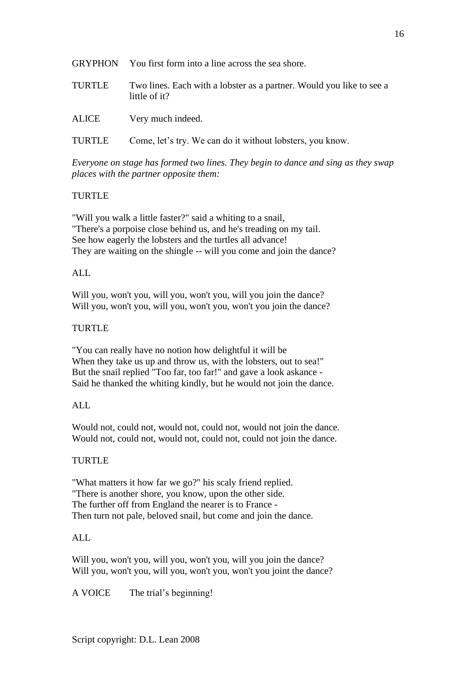|        | GRYPHON You first form into a line across the sea shore.                              |
|--------|---------------------------------------------------------------------------------------|
| TURTLE | Two lines. Each with a lobster as a partner. Would you like to see a<br>little of it? |
| ALICE  | Very much indeed.                                                                     |

TURTLE Come, let's try. We can do it without lobsters, you know.

*Everyone on stage has formed two lines. They begin to dance and sing as they swap places with the partner opposite them:*

## TURTLE

"Will you walk a little faster?" said a whiting to a snail, "There's a porpoise close behind us, and he's treading on my tail. See how eagerly the lobsters and the turtles all advance! They are waiting on the shingle -- will you come and join the dance?

### ALL

Will you, won't you, will you, won't you, will you join the dance? Will you, won't you, will you, won't you, won't you join the dance?

### **TURTLE**

"You can really have no notion how delightful it will be When they take us up and throw us, with the lobsters, out to sea!" But the snail replied "Too far, too far!" and gave a look askance - Said he thanked the whiting kindly, but he would not join the dance.

### ALL

Would not, could not, would not, could not, would not join the dance. Would not, could not, would not, could not, could not join the dance.

### TURTLE

"What matters it how far we go?" his scaly friend replied. "There is another shore, you know, upon the other side. The further off from England the nearer is to France - Then turn not pale, beloved snail, but come and join the dance.

## ALL

Will you, won't you, will you, won't you, will you join the dance? Will you, won't you, will you, won't you, won't you joint the dance?

A VOICE The trial's beginning!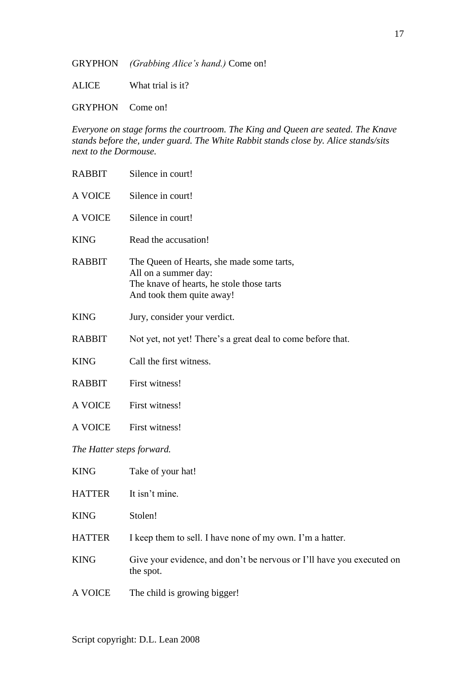GRYPHON *(Grabbing Alice's hand.)* Come on!

ALICE What trial is it?

GRYPHON Come on!

*Everyone on stage forms the courtroom. The King and Queen are seated. The Knave stands before the, under guard. The White Rabbit stands close by. Alice stands/sits next to the Dormouse.*

RABBIT Silence in court! A VOICE Silence in court! A VOICE Silence in court! KING Read the accusation! RABBIT The Queen of Hearts, she made some tarts, All on a summer day: The knave of hearts, he stole those tarts And took them quite away! KING Jury, consider your verdict. RABBIT Not yet, not yet! There's a great deal to come before that. KING Call the first witness. RABBIT First witness! A VOICE First witness! A VOICE First witness! *The Hatter steps forward.* KING Take of your hat! HATTER It isn't mine. KING Stolen! HATTER I keep them to sell. I have none of my own. I'm a hatter. KING Give your evidence, and don't be nervous or I'll have you executed on the spot. A VOICE The child is growing bigger!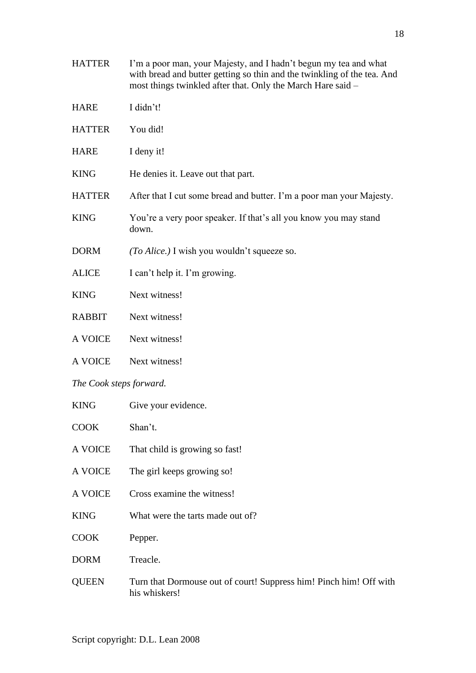- HATTER I'm a poor man, your Majesty, and I hadn't begun my tea and what with bread and butter getting so thin and the twinkling of the tea. And most things twinkled after that. Only the March Hare said –
- HARE I didn't!
- HATTER You did!
- HARE I deny it!
- KING He denies it. Leave out that part.
- HATTER After that I cut some bread and butter. I'm a poor man your Majesty.
- KING You're a very poor speaker. If that's all you know you may stand down.
- DORM *(To Alice.)* I wish you wouldn't squeeze so.
- ALICE I can't help it. I'm growing.
- KING Next witness!
- RABBIT Next witness!
- A VOICE Next witness!
- A VOICE Next witness!

#### *The Cook steps forward.*

| <b>KING</b>    | Give your evidence.                                                                 |
|----------------|-------------------------------------------------------------------------------------|
| <b>COOK</b>    | Shan't.                                                                             |
| <b>A VOICE</b> | That child is growing so fast!                                                      |
| <b>A VOICE</b> | The girl keeps growing so!                                                          |
| <b>A VOICE</b> | Cross examine the witness!                                                          |
| <b>KING</b>    | What were the tarts made out of?                                                    |
| <b>COOK</b>    | Pepper.                                                                             |
| <b>DORM</b>    | Treacle.                                                                            |
| <b>OUEEN</b>   | Turn that Dormouse out of court! Suppress him! Pinch him! Off with<br>his whiskers! |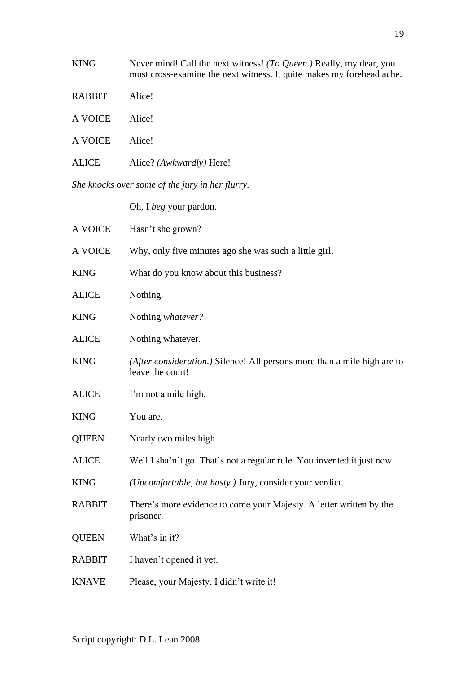| <b>KING</b>                                     | Never mind! Call the next witness! (To Queen.) Really, my dear, you<br>must cross-examine the next witness. It quite makes my forehead ache. |  |
|-------------------------------------------------|----------------------------------------------------------------------------------------------------------------------------------------------|--|
| <b>RABBIT</b>                                   | Alice!                                                                                                                                       |  |
| A VOICE                                         | Alice!                                                                                                                                       |  |
| A VOICE                                         | Alice!                                                                                                                                       |  |
| <b>ALICE</b>                                    | Alice? ( <i>Awkwardly</i> ) Here!                                                                                                            |  |
| She knocks over some of the jury in her flurry. |                                                                                                                                              |  |
|                                                 | Oh, I <i>beg</i> your pardon.                                                                                                                |  |

| A VOICE       | Hasn't she grown?                                                                            |
|---------------|----------------------------------------------------------------------------------------------|
| A VOICE       | Why, only five minutes ago she was such a little girl.                                       |
| <b>KING</b>   | What do you know about this business?                                                        |
| <b>ALICE</b>  | Nothing.                                                                                     |
| <b>KING</b>   | Nothing whatever?                                                                            |
| <b>ALICE</b>  | Nothing whatever.                                                                            |
| <b>KING</b>   | (After consideration.) Silence! All persons more than a mile high are to<br>leave the court! |
| <b>ALICE</b>  | I'm not a mile high.                                                                         |
| <b>KING</b>   | You are.                                                                                     |
| <b>QUEEN</b>  | Nearly two miles high.                                                                       |
| <b>ALICE</b>  | Well I sha'n't go. That's not a regular rule. You invented it just now.                      |
| <b>KING</b>   | (Uncomfortable, but hasty.) Jury, consider your verdict.                                     |
| <b>RABBIT</b> | There's more evidence to come your Majesty. A letter written by the<br>prisoner.             |
| <b>QUEEN</b>  | What's in it?                                                                                |
| <b>RABBIT</b> | I haven't opened it yet.                                                                     |
| <b>KNAVE</b>  | Please, your Majesty, I didn't write it!                                                     |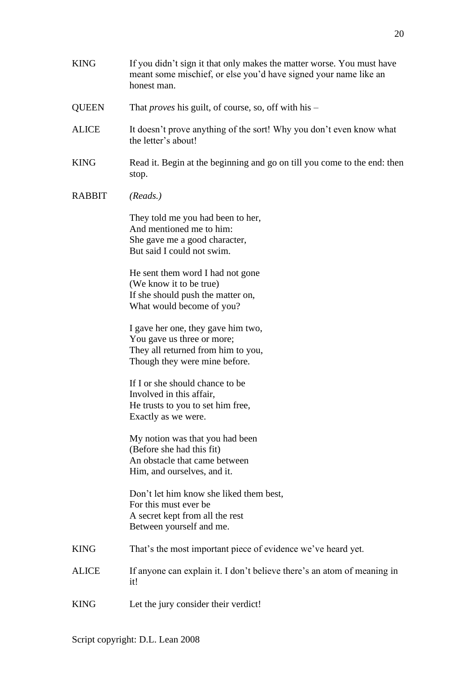- KING If you didn't sign it that only makes the matter worse. You must have meant some mischief, or else you'd have signed your name like an honest man.
- QUEEN That *proves* his guilt, of course, so, off with his –
- ALICE It doesn't prove anything of the sort! Why you don't even know what the letter's about!
- KING Read it. Begin at the beginning and go on till you come to the end: then stop.
- RABBIT *(Reads.)*

They told me you had been to her, And mentioned me to him: She gave me a good character, But said I could not swim.

He sent them word I had not gone (We know it to be true) If she should push the matter on, What would become of you?

I gave her one, they gave him two, You gave us three or more; They all returned from him to you, Though they were mine before.

If I or she should chance to be Involved in this affair, He trusts to you to set him free, Exactly as we were.

My notion was that you had been (Before she had this fit) An obstacle that came between Him, and ourselves, and it.

Don't let him know she liked them best, For this must ever be A secret kept from all the rest Between yourself and me.

- KING That's the most important piece of evidence we've heard yet.
- ALICE If anyone can explain it. I don't believe there's an atom of meaning in it!
- KING Let the jury consider their verdict!